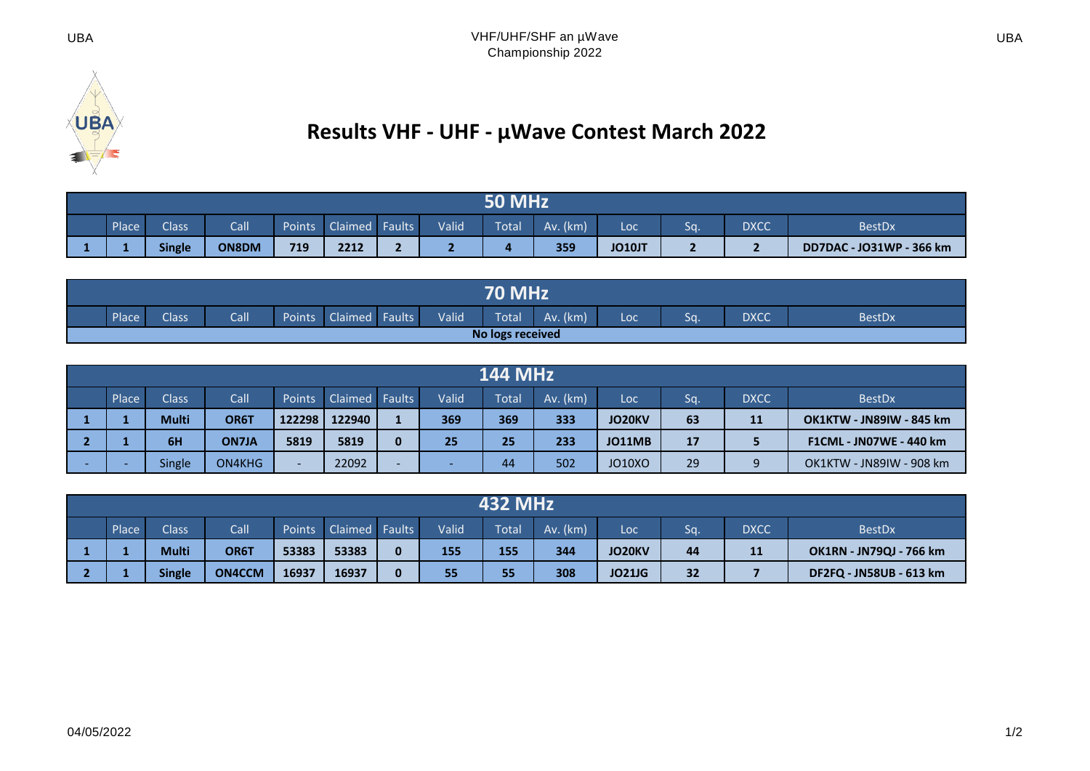

## **Results VHF - UHF - µWave Contest March 2022**

| Call<br><b>Valid</b><br>Place<br>Claimed Faults<br>$Av.$ ( $km$ )<br><b>Class</b><br><b>Total</b><br>Points<br><b>DXCC</b><br>Sa.<br><b>BestDx</b><br>Loc |               |       |     |      |     |  |  |     |               |  |  |                          |  |
|-----------------------------------------------------------------------------------------------------------------------------------------------------------|---------------|-------|-----|------|-----|--|--|-----|---------------|--|--|--------------------------|--|
|                                                                                                                                                           | <b>Single</b> | ON8DM | 719 | 2212 | . . |  |  | 359 | <b>JO10JT</b> |  |  | DD7DAC - JO31WP - 366 km |  |

|                  | <b>70 MHz</b> |              |      |               |         |        |       |       |             |     |     |             |               |
|------------------|---------------|--------------|------|---------------|---------|--------|-------|-------|-------------|-----|-----|-------------|---------------|
|                  | Place         | <b>Class</b> | Call | <b>Points</b> | Claimed | Faults | Valid | Total | (km)<br>Av. | Loc | Sa. | <b>DXCC</b> | <b>BestDx</b> |
| No logs received |               |              |      |               |         |        |       |       |             |     |     |             |               |

|                                                                                                                                                           |              |              |        |        |   |     |     | <b>144 MHz</b> |               |    |    |                                 |  |  |  |  |  |  |  |  |
|-----------------------------------------------------------------------------------------------------------------------------------------------------------|--------------|--------------|--------|--------|---|-----|-----|----------------|---------------|----|----|---------------------------------|--|--|--|--|--|--|--|--|
| Call<br><b>Class</b><br>Valid<br>Place<br><b>Claimed Faults</b><br>Sq.<br><b>DXCC</b><br>Total<br>$Av.$ ( $km$ )<br><b>Points</b><br><b>BestDx</b><br>Loc |              |              |        |        |   |     |     |                |               |    |    |                                 |  |  |  |  |  |  |  |  |
|                                                                                                                                                           | <b>Multi</b> | OR6T         | 122298 | 122940 |   | 369 | 369 | 333            | <b>JO20KV</b> | 63 | 11 | <b>OK1KTW - JN89IW - 845 km</b> |  |  |  |  |  |  |  |  |
|                                                                                                                                                           | 6H           | <b>ON7JA</b> | 5819   | 5819   |   | 25  | 25  | 233            | <b>JO11MB</b> | 17 |    | <b>F1CML - JN07WE - 440 km</b>  |  |  |  |  |  |  |  |  |
|                                                                                                                                                           | Single       | ON4KHG       | -      | 22092  | - |     | 44  | 502            | <b>JO10XO</b> | 29 |    | OK1KTW - JN89IW - 908 km        |  |  |  |  |  |  |  |  |

| <b>432 MHz</b>                                                                                                                                            |               |               |       |       |  |     |     |     |               |    |    |                                |  |
|-----------------------------------------------------------------------------------------------------------------------------------------------------------|---------------|---------------|-------|-------|--|-----|-----|-----|---------------|----|----|--------------------------------|--|
| Call<br>Claimed Faults<br><b>Valid</b><br><b>Class</b><br>Place<br>$Av.$ ( $km$ )<br><b>DXCC</b><br>Points<br><b>Total</b><br>Sq.<br><b>BestDx</b><br>Loc |               |               |       |       |  |     |     |     |               |    |    |                                |  |
|                                                                                                                                                           | <b>Multi</b>  | OR6T          | 53383 | 53383 |  | 155 | 155 | 344 | JO20KV        | 44 | 11 | <b>OK1RN - JN79QJ - 766 km</b> |  |
|                                                                                                                                                           | <b>Single</b> | <b>ON4CCM</b> | 16937 | 16937 |  | 55  | 55  | 308 | <b>JO21JG</b> | 32 |    | DF2FQ - JN58UB - 613 km        |  |